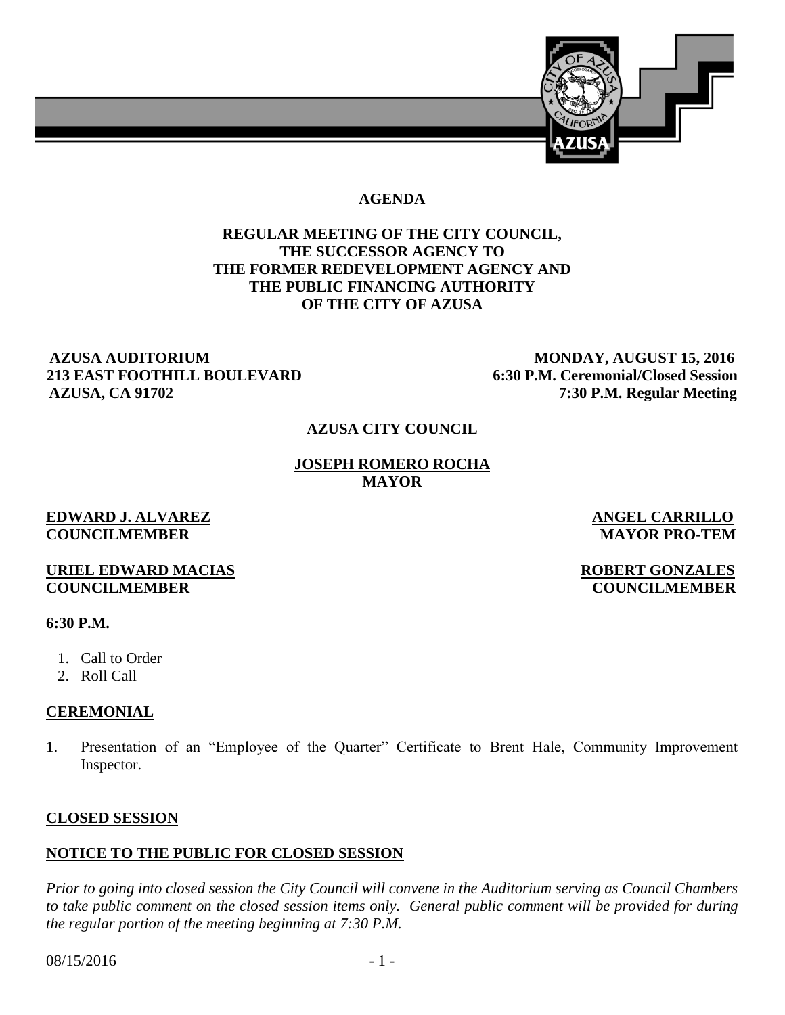

#### **AGENDA**

# **REGULAR MEETING OF THE CITY COUNCIL, THE SUCCESSOR AGENCY TO THE FORMER REDEVELOPMENT AGENCY AND THE PUBLIC FINANCING AUTHORITY OF THE CITY OF AZUSA**

#### **AZUSA AUDITORIUM MONDAY, AUGUST 15, 2016 213 EAST FOOTHILL BOULEVARD 6:30 P.M. Ceremonial/Closed Session AZUSA, CA 91702 7:30 P.M. Regular Meeting**

#### **AZUSA CITY COUNCIL**

#### **JOSEPH ROMERO ROCHA MAYOR**

#### **EDWARD J. ALVAREZ ANGEL CARRILLO COUNCILMEMBER MAYOR PRO-TEM**

#### **URIEL EDWARD MACIAS** ROBERT GONZALES **COUNCILMEMBER COUNCILMEMBER**

#### **6:30 P.M.**

- 1. Call to Order
- 2. Roll Call

# **CEREMONIAL**

1. Presentation of an "Employee of the Quarter" Certificate to Brent Hale, Community Improvement Inspector.

# **CLOSED SESSION**

# **NOTICE TO THE PUBLIC FOR CLOSED SESSION**

*Prior to going into closed session the City Council will convene in the Auditorium serving as Council Chambers to take public comment on the closed session items only. General public comment will be provided for during the regular portion of the meeting beginning at 7:30 P.M.* 

 $08/15/2016$  - 1 -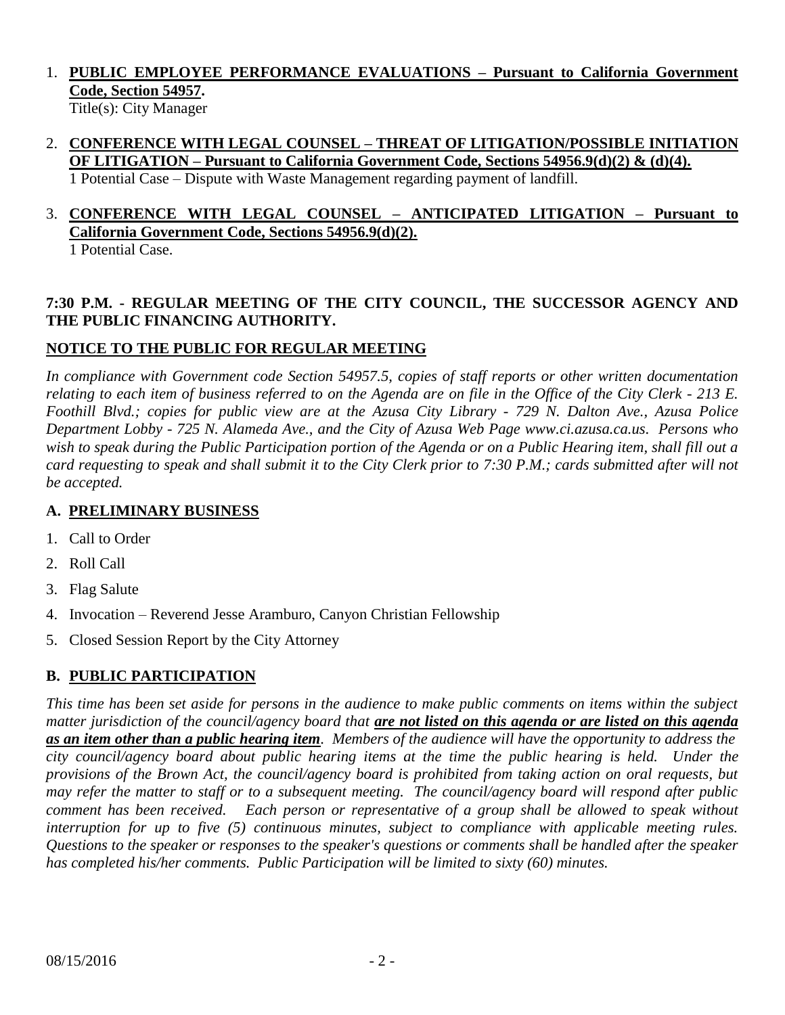# 1. **PUBLIC EMPLOYEE PERFORMANCE EVALUATIONS – Pursuant to California Government Code, Section 54957.**

Title(s): City Manager

2. **CONFERENCE WITH LEGAL COUNSEL – THREAT OF LITIGATION/POSSIBLE INITIATION OF LITIGATION – Pursuant to California Government Code, Sections 54956.9(d)(2) & (d)(4).** 1 Potential Case – Dispute with Waste Management regarding payment of landfill.

#### 3. **CONFERENCE WITH LEGAL COUNSEL – ANTICIPATED LITIGATION – Pursuant to California Government Code, Sections 54956.9(d)(2).** 1 Potential Case.

# **7:30 P.M. - REGULAR MEETING OF THE CITY COUNCIL, THE SUCCESSOR AGENCY AND THE PUBLIC FINANCING AUTHORITY.**

# **NOTICE TO THE PUBLIC FOR REGULAR MEETING**

*In compliance with Government code Section 54957.5, copies of staff reports or other written documentation relating to each item of business referred to on the Agenda are on file in the Office of the City Clerk - 213 E. Foothill Blvd.; copies for public view are at the Azusa City Library - 729 N. Dalton Ave., Azusa Police Department Lobby - 725 N. Alameda Ave., and the City of Azusa Web Page www.ci.azusa.ca.us. Persons who wish to speak during the Public Participation portion of the Agenda or on a Public Hearing item, shall fill out a card requesting to speak and shall submit it to the City Clerk prior to 7:30 P.M.; cards submitted after will not be accepted.* 

# **A. PRELIMINARY BUSINESS**

- 1. Call to Order
- 2. Roll Call
- 3. Flag Salute
- 4. Invocation Reverend Jesse Aramburo, Canyon Christian Fellowship
- 5. Closed Session Report by the City Attorney

# **B. PUBLIC PARTICIPATION**

*This time has been set aside for persons in the audience to make public comments on items within the subject matter jurisdiction of the council/agency board that are not listed on this agenda or are listed on this agenda as an item other than a public hearing item. Members of the audience will have the opportunity to address the city council/agency board about public hearing items at the time the public hearing is held. Under the provisions of the Brown Act, the council/agency board is prohibited from taking action on oral requests, but may refer the matter to staff or to a subsequent meeting. The council/agency board will respond after public comment has been received. Each person or representative of a group shall be allowed to speak without interruption for up to five (5) continuous minutes, subject to compliance with applicable meeting rules. Questions to the speaker or responses to the speaker's questions or comments shall be handled after the speaker has completed his/her comments. Public Participation will be limited to sixty (60) minutes.*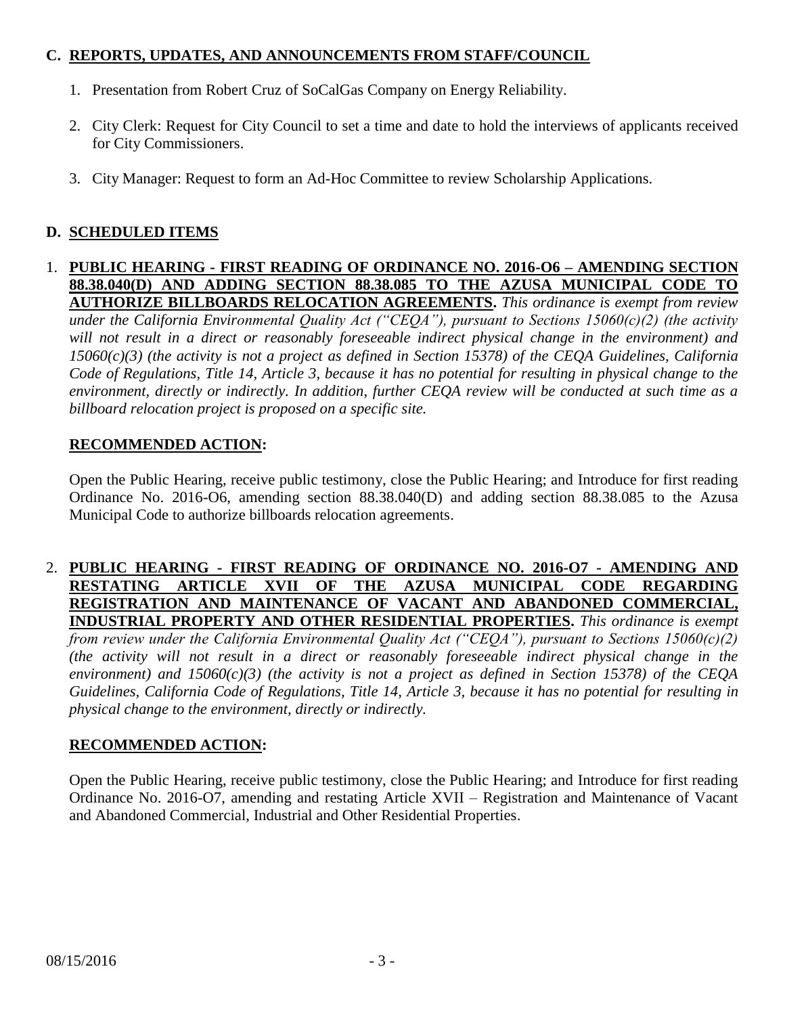# **C. REPORTS, UPDATES, AND ANNOUNCEMENTS FROM STAFF/COUNCIL**

- 1. Presentation from Robert Cruz of SoCalGas Company on Energy Reliability.
- 2. City Clerk: Request for City Council to set a time and date to hold the interviews of applicants received for City Commissioners.
- 3. City Manager: Request to form an Ad-Hoc Committee to review Scholarship Applications.

# **D. SCHEDULED ITEMS**

#### 1. **PUBLIC HEARING - FIRST READING OF ORDINANCE NO. 2016-O6 – AMENDING SECTION 88.38.040(D) AND ADDING SECTION 88.38.085 TO THE AZUSA MUNICIPAL CODE TO AUTHORIZE BILLBOARDS RELOCATION AGREEMENTS.** *This ordinance is exempt from review under the California Environmental Quality Act ("CEQA"), pursuant to Sections 15060(c)(2) (the activity will not result in a direct or reasonably foreseeable indirect physical change in the environment) and 15060(c)(3) (the activity is not a project as defined in Section 15378) of the CEQA Guidelines, California Code of Regulations, Title 14, Article 3, because it has no potential for resulting in physical change to the environment, directly or indirectly. In addition, further CEQA review will be conducted at such time as a billboard relocation project is proposed on a specific site.*

# **RECOMMENDED ACTION:**

Open the Public Hearing, receive public testimony, close the Public Hearing; and Introduce for first reading Ordinance No. 2016-O6, amending section 88.38.040(D) and adding section 88.38.085 to the Azusa Municipal Code to authorize billboards relocation agreements.

#### 2. **PUBLIC HEARING - FIRST READING OF ORDINANCE NO. 2016-O7 - AMENDING AND RESTATING ARTICLE XVII OF THE AZUSA MUNICIPAL CODE REGARDING REGISTRATION AND MAINTENANCE OF VACANT AND ABANDONED COMMERCIAL, INDUSTRIAL PROPERTY AND OTHER RESIDENTIAL PROPERTIES.** *This ordinance is exempt*

*from review under the California Environmental Quality Act ("CEQA"), pursuant to Sections 15060(c)(2) (the activity will not result in a direct or reasonably foreseeable indirect physical change in the environment) and 15060(c)(3) (the activity is not a project as defined in Section 15378) of the CEQA Guidelines, California Code of Regulations, Title 14, Article 3, because it has no potential for resulting in physical change to the environment, directly or indirectly.*

# **RECOMMENDED ACTION:**

Open the Public Hearing, receive public testimony, close the Public Hearing; and Introduce for first reading Ordinance No. 2016-O7, amending and restating Article XVII – Registration and Maintenance of Vacant and Abandoned Commercial, Industrial and Other Residential Properties.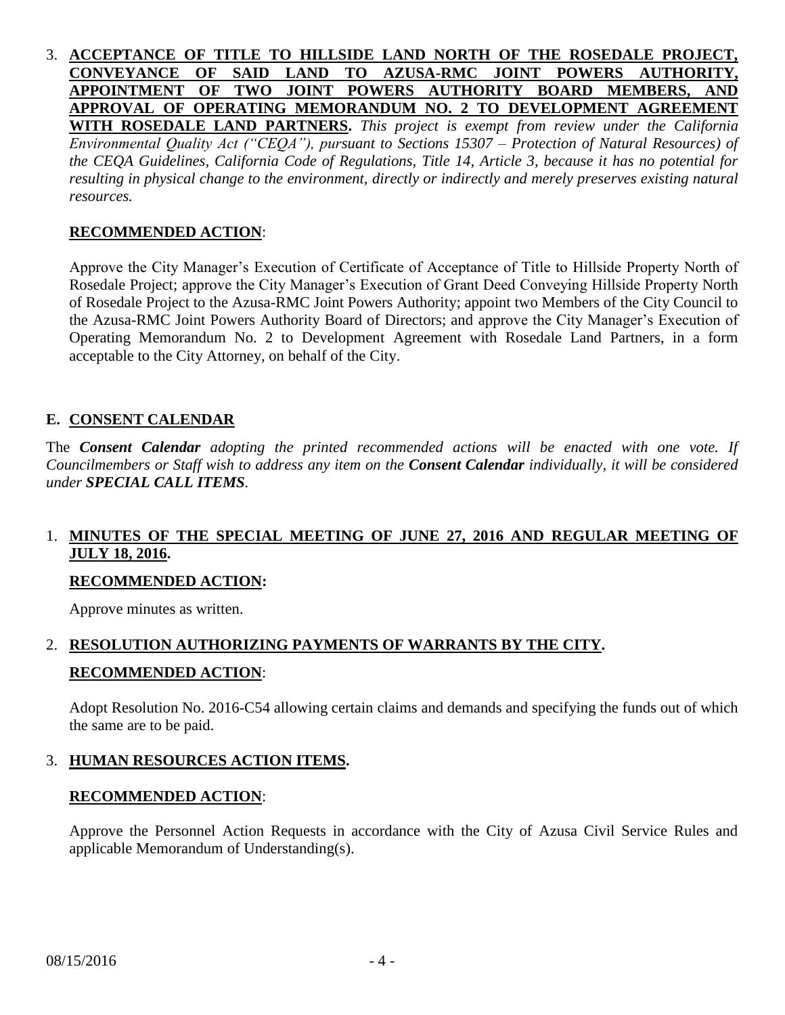3. **ACCEPTANCE OF TITLE TO HILLSIDE LAND NORTH OF THE ROSEDALE PROJECT, CONVEYANCE OF SAID LAND TO AZUSA-RMC JOINT POWERS AUTHORITY, APPOINTMENT OF TWO JOINT POWERS AUTHORITY BOARD MEMBERS, AND APPROVAL OF OPERATING MEMORANDUM NO. 2 TO DEVELOPMENT AGREEMENT WITH ROSEDALE LAND PARTNERS.** *This project is exempt from review under the California Environmental Quality Act ("CEQA"), pursuant to Sections 15307 – Protection of Natural Resources) of the CEQA Guidelines, California Code of Regulations, Title 14, Article 3, because it has no potential for resulting in physical change to the environment, directly or indirectly and merely preserves existing natural resources.*

#### **RECOMMENDED ACTION**:

Approve the City Manager's Execution of Certificate of Acceptance of Title to Hillside Property North of Rosedale Project; approve the City Manager's Execution of Grant Deed Conveying Hillside Property North of Rosedale Project to the Azusa-RMC Joint Powers Authority; appoint two Members of the City Council to the Azusa-RMC Joint Powers Authority Board of Directors; and approve the City Manager's Execution of Operating Memorandum No. 2 to Development Agreement with Rosedale Land Partners, in a form acceptable to the City Attorney, on behalf of the City.

#### **E. CONSENT CALENDAR**

The *Consent Calendar adopting the printed recommended actions will be enacted with one vote. If Councilmembers or Staff wish to address any item on the Consent Calendar individually, it will be considered under SPECIAL CALL ITEMS.*

# 1. **MINUTES OF THE SPECIAL MEETING OF JUNE 27, 2016 AND REGULAR MEETING OF JULY 18, 2016.**

#### **RECOMMENDED ACTION:**

Approve minutes as written.

# 2. **RESOLUTION AUTHORIZING PAYMENTS OF WARRANTS BY THE CITY. RECOMMENDED ACTION**:

Adopt Resolution No. 2016-C54 allowing certain claims and demands and specifying the funds out of which the same are to be paid.

#### 3. **HUMAN RESOURCES ACTION ITEMS.**

#### **RECOMMENDED ACTION**:

Approve the Personnel Action Requests in accordance with the City of Azusa Civil Service Rules and applicable Memorandum of Understanding(s).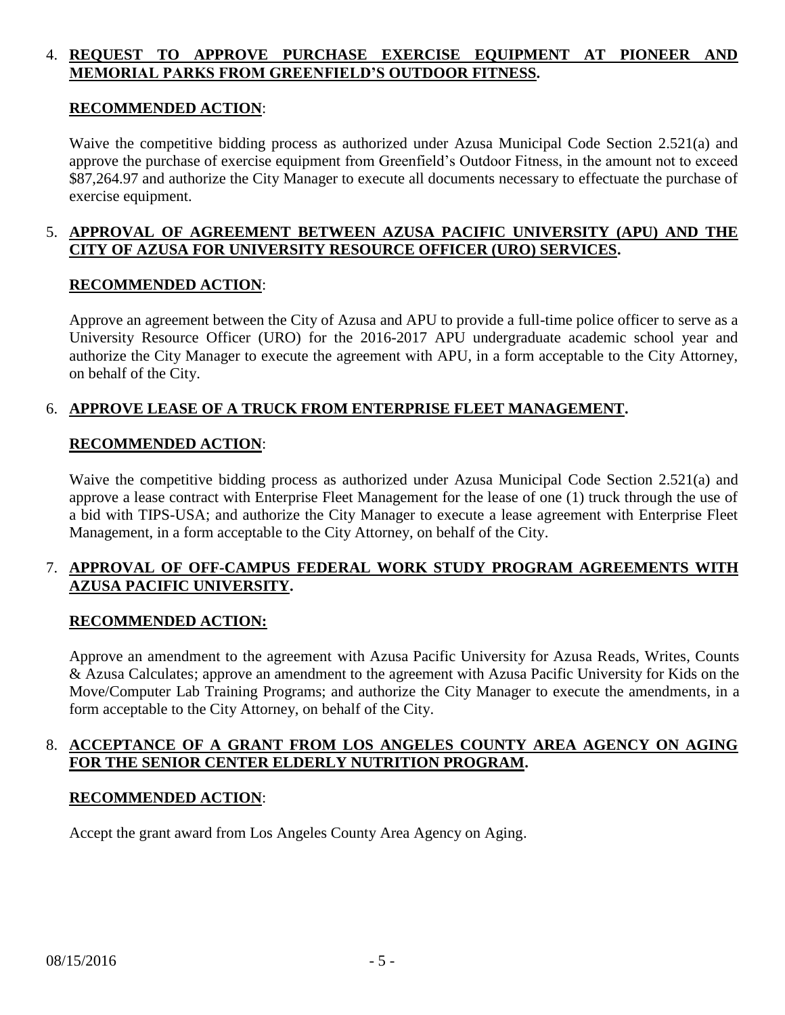# 4. **REQUEST TO APPROVE PURCHASE EXERCISE EQUIPMENT AT PIONEER AND MEMORIAL PARKS FROM GREENFIELD'S OUTDOOR FITNESS.**

#### **RECOMMENDED ACTION**:

Waive the competitive bidding process as authorized under Azusa Municipal Code Section 2.521(a) and approve the purchase of exercise equipment from Greenfield's Outdoor Fitness, in the amount not to exceed \$87,264.97 and authorize the City Manager to execute all documents necessary to effectuate the purchase of exercise equipment.

# 5. **APPROVAL OF AGREEMENT BETWEEN AZUSA PACIFIC UNIVERSITY (APU) AND THE CITY OF AZUSA FOR UNIVERSITY RESOURCE OFFICER (URO) SERVICES.**

# **RECOMMENDED ACTION**:

Approve an agreement between the City of Azusa and APU to provide a full-time police officer to serve as a University Resource Officer (URO) for the 2016-2017 APU undergraduate academic school year and authorize the City Manager to execute the agreement with APU, in a form acceptable to the City Attorney, on behalf of the City.

# 6. **APPROVE LEASE OF A TRUCK FROM ENTERPRISE FLEET MANAGEMENT.**

#### **RECOMMENDED ACTION**:

Waive the competitive bidding process as authorized under Azusa Municipal Code Section 2.521(a) and approve a lease contract with Enterprise Fleet Management for the lease of one (1) truck through the use of a bid with TIPS-USA; and authorize the City Manager to execute a lease agreement with Enterprise Fleet Management, in a form acceptable to the City Attorney, on behalf of the City.

# 7. **APPROVAL OF OFF-CAMPUS FEDERAL WORK STUDY PROGRAM AGREEMENTS WITH AZUSA PACIFIC UNIVERSITY.**

#### **RECOMMENDED ACTION:**

Approve an amendment to the agreement with Azusa Pacific University for Azusa Reads, Writes, Counts & Azusa Calculates; approve an amendment to the agreement with Azusa Pacific University for Kids on the Move/Computer Lab Training Programs; and authorize the City Manager to execute the amendments, in a form acceptable to the City Attorney, on behalf of the City.

#### 8. **ACCEPTANCE OF A GRANT FROM LOS ANGELES COUNTY AREA AGENCY ON AGING FOR THE SENIOR CENTER ELDERLY NUTRITION PROGRAM.**

#### **RECOMMENDED ACTION**:

Accept the grant award from Los Angeles County Area Agency on Aging.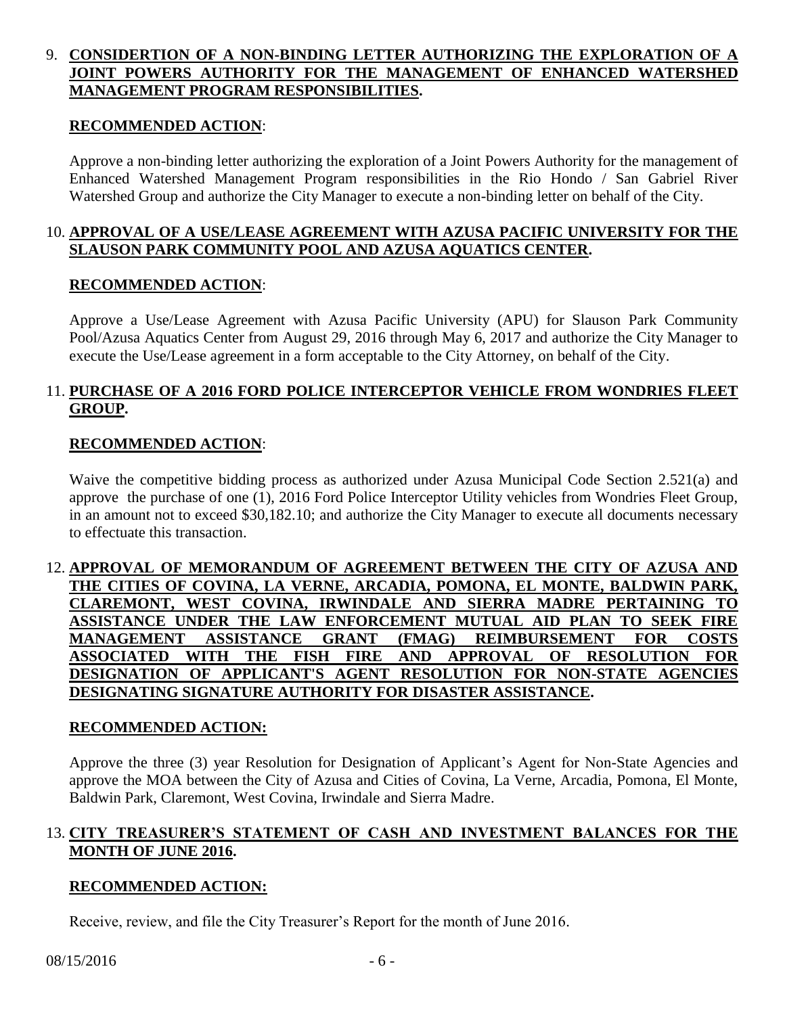# 9. **CONSIDERTION OF A NON-BINDING LETTER AUTHORIZING THE EXPLORATION OF A JOINT POWERS AUTHORITY FOR THE MANAGEMENT OF ENHANCED WATERSHED MANAGEMENT PROGRAM RESPONSIBILITIES.**

#### **RECOMMENDED ACTION**:

Approve a non-binding letter authorizing the exploration of a Joint Powers Authority for the management of Enhanced Watershed Management Program responsibilities in the Rio Hondo / San Gabriel River Watershed Group and authorize the City Manager to execute a non-binding letter on behalf of the City.

# 10. **APPROVAL OF A USE/LEASE AGREEMENT WITH AZUSA PACIFIC UNIVERSITY FOR THE SLAUSON PARK COMMUNITY POOL AND AZUSA AQUATICS CENTER.**

#### **RECOMMENDED ACTION**:

Approve a Use/Lease Agreement with Azusa Pacific University (APU) for Slauson Park Community Pool/Azusa Aquatics Center from August 29, 2016 through May 6, 2017 and authorize the City Manager to execute the Use/Lease agreement in a form acceptable to the City Attorney, on behalf of the City.

# 11. **PURCHASE OF A 2016 FORD POLICE INTERCEPTOR VEHICLE FROM WONDRIES FLEET GROUP.**

#### **RECOMMENDED ACTION**:

Waive the competitive bidding process as authorized under Azusa Municipal Code Section 2.521(a) and approve the purchase of one (1), 2016 Ford Police Interceptor Utility vehicles from Wondries Fleet Group, in an amount not to exceed \$30,182.10; and authorize the City Manager to execute all documents necessary to effectuate this transaction.

# 12. **APPROVAL OF MEMORANDUM OF AGREEMENT BETWEEN THE CITY OF AZUSA AND THE CITIES OF COVINA, LA VERNE, ARCADIA, POMONA, EL MONTE, BALDWIN PARK, CLAREMONT, WEST COVINA, IRWINDALE AND SIERRA MADRE PERTAINING TO ASSISTANCE UNDER THE LAW ENFORCEMENT MUTUAL AID PLAN TO SEEK FIRE MANAGEMENT ASSISTANCE GRANT (FMAG) REIMBURSEMENT FOR COSTS ASSOCIATED WITH THE FISH FIRE AND APPROVAL OF RESOLUTION FOR DESIGNATION OF APPLICANT'S AGENT RESOLUTION FOR NON-STATE AGENCIES DESIGNATING SIGNATURE AUTHORITY FOR DISASTER ASSISTANCE.**

#### **RECOMMENDED ACTION:**

Approve the three (3) year Resolution for Designation of Applicant's Agent for Non-State Agencies and approve the MOA between the City of Azusa and Cities of Covina, La Verne, Arcadia, Pomona, El Monte, Baldwin Park, Claremont, West Covina, Irwindale and Sierra Madre.

# 13. **CITY TREASURER'S STATEMENT OF CASH AND INVESTMENT BALANCES FOR THE MONTH OF JUNE 2016.**

#### **RECOMMENDED ACTION:**

Receive, review, and file the City Treasurer's Report for the month of June 2016.